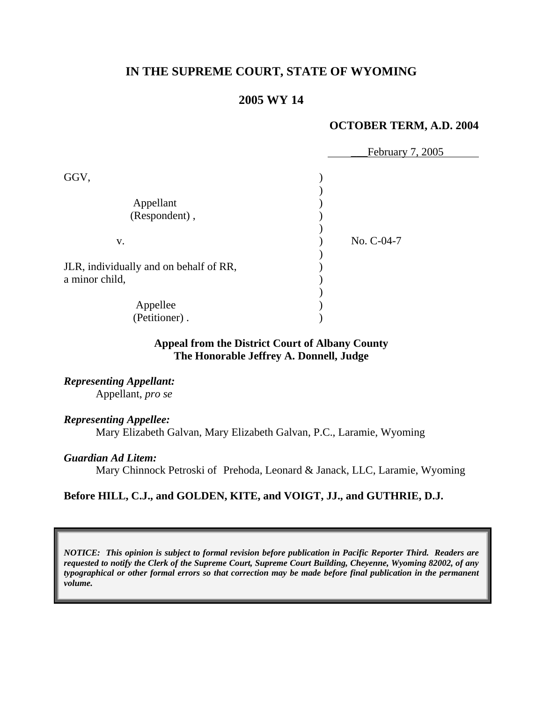# **IN THE SUPREME COURT, STATE OF WYOMING**

# **2005 WY 14**

### **OCTOBER TERM, A.D. 2004**

|                                        | February 7, 2005 |
|----------------------------------------|------------------|
| GGV,                                   |                  |
|                                        |                  |
| Appellant                              |                  |
| (Respondent),                          |                  |
|                                        |                  |
| V.                                     | No. C-04-7       |
|                                        |                  |
| JLR, individually and on behalf of RR, |                  |
| a minor child,                         |                  |
|                                        |                  |
| Appellee                               |                  |
| (Petitioner).                          |                  |

## **Appeal from the District Court of Albany County The Honorable Jeffrey A. Donnell, Judge**

*Representing Appellant:*  Appellant, *pro se*

### *Representing Appellee:*

Mary Elizabeth Galvan, Mary Elizabeth Galvan, P.C., Laramie, Wyoming

#### *Guardian Ad Litem:*

Mary Chinnock Petroski of Prehoda, Leonard & Janack, LLC, Laramie, Wyoming

### **Before HILL, C.J., and GOLDEN, KITE, and VOIGT, JJ., and GUTHRIE, D.J.**

*NOTICE: This opinion is subject to formal revision before publication in Pacific Reporter Third. Readers are requested to notify the Clerk of the Supreme Court, Supreme Court Building, Cheyenne, Wyoming 82002, of any typographical or other formal errors so that correction may be made before final publication in the permanent volume.*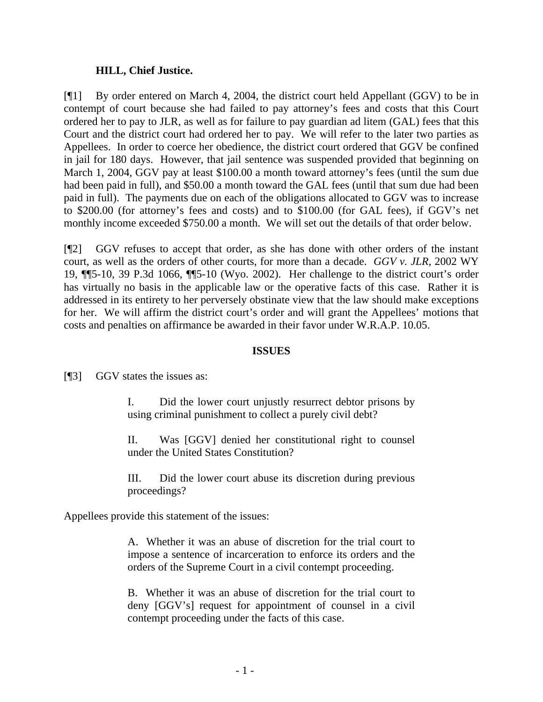### **HILL, Chief Justice.**

[¶1] By order entered on March 4, 2004, the district court held Appellant (GGV) to be in contempt of court because she had failed to pay attorney's fees and costs that this Court ordered her to pay to JLR, as well as for failure to pay guardian ad litem (GAL) fees that this Court and the district court had ordered her to pay. We will refer to the later two parties as Appellees. In order to coerce her obedience, the district court ordered that GGV be confined in jail for 180 days. However, that jail sentence was suspended provided that beginning on March 1, 2004, GGV pay at least \$100.00 a month toward attorney's fees (until the sum due had been paid in full), and \$50.00 a month toward the GAL fees (until that sum due had been paid in full). The payments due on each of the obligations allocated to GGV was to increase to \$200.00 (for attorney's fees and costs) and to \$100.00 (for GAL fees), if GGV's net monthly income exceeded \$750.00 a month. We will set out the details of that order below.

[¶2] GGV refuses to accept that order, as she has done with other orders of the instant court, as well as the orders of other courts, for more than a decade. *GGV v. JLR*, 2002 WY 19, ¶¶5-10, 39 P.3d 1066, ¶¶5-10 (Wyo. 2002). Her challenge to the district court's order has virtually no basis in the applicable law or the operative facts of this case. Rather it is addressed in its entirety to her perversely obstinate view that the law should make exceptions for her. We will affirm the district court's order and will grant the Appellees' motions that costs and penalties on affirmance be awarded in their favor under W.R.A.P. 10.05.

### **ISSUES**

[¶3] GGV states the issues as:

I. Did the lower court unjustly resurrect debtor prisons by using criminal punishment to collect a purely civil debt?

II. Was [GGV] denied her constitutional right to counsel under the United States Constitution?

III. Did the lower court abuse its discretion during previous proceedings?

Appellees provide this statement of the issues:

A. Whether it was an abuse of discretion for the trial court to impose a sentence of incarceration to enforce its orders and the orders of the Supreme Court in a civil contempt proceeding.

B. Whether it was an abuse of discretion for the trial court to deny [GGV's] request for appointment of counsel in a civil contempt proceeding under the facts of this case.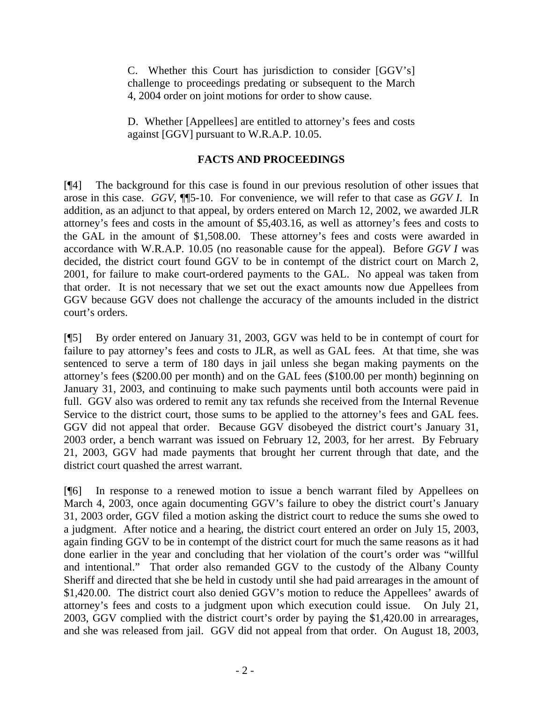C. Whether this Court has jurisdiction to consider [GGV's] challenge to proceedings predating or subsequent to the March 4, 2004 order on joint motions for order to show cause.

D. Whether [Appellees] are entitled to attorney's fees and costs against [GGV] pursuant to W.R.A.P. 10.05.

# **FACTS AND PROCEEDINGS**

[¶4] The background for this case is found in our previous resolution of other issues that arose in this case. *GGV*, ¶¶5-10. For convenience, we will refer to that case as *GGV I*. In addition, as an adjunct to that appeal, by orders entered on March 12, 2002, we awarded JLR attorney's fees and costs in the amount of \$5,403.16, as well as attorney's fees and costs to the GAL in the amount of \$1,508.00. These attorney's fees and costs were awarded in accordance with W.R.A.P. 10.05 (no reasonable cause for the appeal). Before *GGV I* was decided, the district court found GGV to be in contempt of the district court on March 2, 2001, for failure to make court-ordered payments to the GAL. No appeal was taken from that order. It is not necessary that we set out the exact amounts now due Appellees from GGV because GGV does not challenge the accuracy of the amounts included in the district court's orders.

[¶5] By order entered on January 31, 2003, GGV was held to be in contempt of court for failure to pay attorney's fees and costs to JLR, as well as GAL fees. At that time, she was sentenced to serve a term of 180 days in jail unless she began making payments on the attorney's fees (\$200.00 per month) and on the GAL fees (\$100.00 per month) beginning on January 31, 2003, and continuing to make such payments until both accounts were paid in full. GGV also was ordered to remit any tax refunds she received from the Internal Revenue Service to the district court, those sums to be applied to the attorney's fees and GAL fees. GGV did not appeal that order. Because GGV disobeyed the district court's January 31, 2003 order, a bench warrant was issued on February 12, 2003, for her arrest. By February 21, 2003, GGV had made payments that brought her current through that date, and the district court quashed the arrest warrant.

[¶6] In response to a renewed motion to issue a bench warrant filed by Appellees on March 4, 2003, once again documenting GGV's failure to obey the district court's January 31, 2003 order, GGV filed a motion asking the district court to reduce the sums she owed to a judgment. After notice and a hearing, the district court entered an order on July 15, 2003, again finding GGV to be in contempt of the district court for much the same reasons as it had done earlier in the year and concluding that her violation of the court's order was "willful and intentional." That order also remanded GGV to the custody of the Albany County Sheriff and directed that she be held in custody until she had paid arrearages in the amount of \$1,420.00. The district court also denied GGV's motion to reduce the Appellees' awards of attorney's fees and costs to a judgment upon which execution could issue. On July 21, 2003, GGV complied with the district court's order by paying the \$1,420.00 in arrearages, and she was released from jail. GGV did not appeal from that order. On August 18, 2003,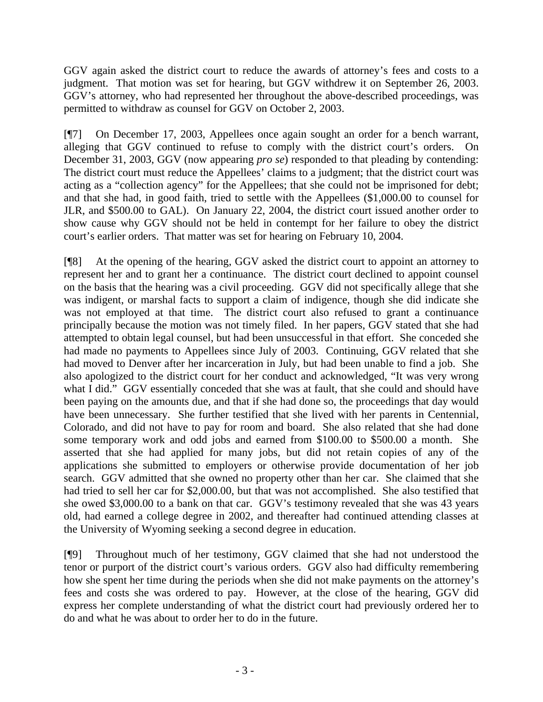GGV again asked the district court to reduce the awards of attorney's fees and costs to a judgment. That motion was set for hearing, but GGV withdrew it on September 26, 2003. GGV's attorney, who had represented her throughout the above-described proceedings, was permitted to withdraw as counsel for GGV on October 2, 2003.

[¶7] On December 17, 2003, Appellees once again sought an order for a bench warrant, alleging that GGV continued to refuse to comply with the district court's orders. On December 31, 2003, GGV (now appearing *pro se*) responded to that pleading by contending: The district court must reduce the Appellees' claims to a judgment; that the district court was acting as a "collection agency" for the Appellees; that she could not be imprisoned for debt; and that she had, in good faith, tried to settle with the Appellees (\$1,000.00 to counsel for JLR, and \$500.00 to GAL). On January 22, 2004, the district court issued another order to show cause why GGV should not be held in contempt for her failure to obey the district court's earlier orders. That matter was set for hearing on February 10, 2004.

[¶8] At the opening of the hearing, GGV asked the district court to appoint an attorney to represent her and to grant her a continuance. The district court declined to appoint counsel on the basis that the hearing was a civil proceeding. GGV did not specifically allege that she was indigent, or marshal facts to support a claim of indigence, though she did indicate she was not employed at that time. The district court also refused to grant a continuance principally because the motion was not timely filed. In her papers, GGV stated that she had attempted to obtain legal counsel, but had been unsuccessful in that effort. She conceded she had made no payments to Appellees since July of 2003. Continuing, GGV related that she had moved to Denver after her incarceration in July, but had been unable to find a job. She also apologized to the district court for her conduct and acknowledged, "It was very wrong what I did." GGV essentially conceded that she was at fault, that she could and should have been paying on the amounts due, and that if she had done so, the proceedings that day would have been unnecessary. She further testified that she lived with her parents in Centennial, Colorado, and did not have to pay for room and board. She also related that she had done some temporary work and odd jobs and earned from \$100.00 to \$500.00 a month. She asserted that she had applied for many jobs, but did not retain copies of any of the applications she submitted to employers or otherwise provide documentation of her job search. GGV admitted that she owned no property other than her car. She claimed that she had tried to sell her car for \$2,000.00, but that was not accomplished. She also testified that she owed \$3,000.00 to a bank on that car. GGV's testimony revealed that she was 43 years old, had earned a college degree in 2002, and thereafter had continued attending classes at the University of Wyoming seeking a second degree in education.

[¶9] Throughout much of her testimony, GGV claimed that she had not understood the tenor or purport of the district court's various orders. GGV also had difficulty remembering how she spent her time during the periods when she did not make payments on the attorney's fees and costs she was ordered to pay. However, at the close of the hearing, GGV did express her complete understanding of what the district court had previously ordered her to do and what he was about to order her to do in the future.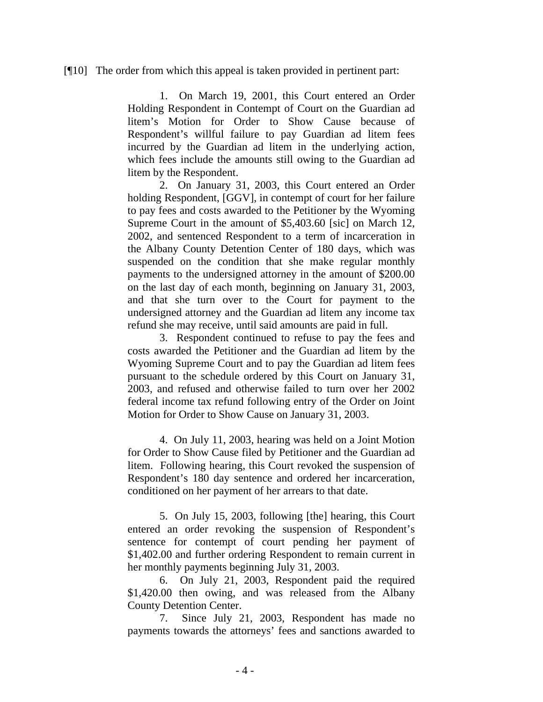#### [¶10] The order from which this appeal is taken provided in pertinent part:

1. On March 19, 2001, this Court entered an Order Holding Respondent in Contempt of Court on the Guardian ad litem's Motion for Order to Show Cause because of Respondent's willful failure to pay Guardian ad litem fees incurred by the Guardian ad litem in the underlying action, which fees include the amounts still owing to the Guardian ad litem by the Respondent.

2. On January 31, 2003, this Court entered an Order holding Respondent, [GGV], in contempt of court for her failure to pay fees and costs awarded to the Petitioner by the Wyoming Supreme Court in the amount of \$5,403.60 [sic] on March 12, 2002, and sentenced Respondent to a term of incarceration in the Albany County Detention Center of 180 days, which was suspended on the condition that she make regular monthly payments to the undersigned attorney in the amount of \$200.00 on the last day of each month, beginning on January 31, 2003, and that she turn over to the Court for payment to the undersigned attorney and the Guardian ad litem any income tax refund she may receive, until said amounts are paid in full.

3. Respondent continued to refuse to pay the fees and costs awarded the Petitioner and the Guardian ad litem by the Wyoming Supreme Court and to pay the Guardian ad litem fees pursuant to the schedule ordered by this Court on January 31, 2003, and refused and otherwise failed to turn over her 2002 federal income tax refund following entry of the Order on Joint Motion for Order to Show Cause on January 31, 2003.

4. On July 11, 2003, hearing was held on a Joint Motion for Order to Show Cause filed by Petitioner and the Guardian ad litem. Following hearing, this Court revoked the suspension of Respondent's 180 day sentence and ordered her incarceration, conditioned on her payment of her arrears to that date.

5. On July 15, 2003, following [the] hearing, this Court entered an order revoking the suspension of Respondent's sentence for contempt of court pending her payment of \$1,402.00 and further ordering Respondent to remain current in her monthly payments beginning July 31, 2003.

6. On July 21, 2003, Respondent paid the required \$1,420.00 then owing, and was released from the Albany County Detention Center.

7. Since July 21, 2003, Respondent has made no payments towards the attorneys' fees and sanctions awarded to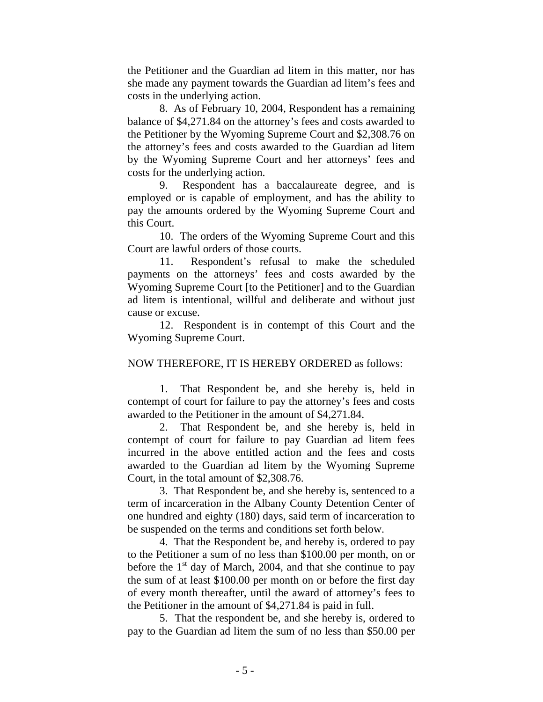the Petitioner and the Guardian ad litem in this matter, nor has she made any payment towards the Guardian ad litem's fees and costs in the underlying action.

8. As of February 10, 2004, Respondent has a remaining balance of \$4,271.84 on the attorney's fees and costs awarded to the Petitioner by the Wyoming Supreme Court and \$2,308.76 on the attorney's fees and costs awarded to the Guardian ad litem by the Wyoming Supreme Court and her attorneys' fees and costs for the underlying action.

9. Respondent has a baccalaureate degree, and is employed or is capable of employment, and has the ability to pay the amounts ordered by the Wyoming Supreme Court and this Court.

10. The orders of the Wyoming Supreme Court and this Court are lawful orders of those courts.

11. Respondent's refusal to make the scheduled payments on the attorneys' fees and costs awarded by the Wyoming Supreme Court [to the Petitioner] and to the Guardian ad litem is intentional, willful and deliberate and without just cause or excuse.

12. Respondent is in contempt of this Court and the Wyoming Supreme Court.

NOW THEREFORE, IT IS HEREBY ORDERED as follows:

1. That Respondent be, and she hereby is, held in contempt of court for failure to pay the attorney's fees and costs awarded to the Petitioner in the amount of \$4,271.84.

2. That Respondent be, and she hereby is, held in contempt of court for failure to pay Guardian ad litem fees incurred in the above entitled action and the fees and costs awarded to the Guardian ad litem by the Wyoming Supreme Court, in the total amount of \$2,308.76.

3. That Respondent be, and she hereby is, sentenced to a term of incarceration in the Albany County Detention Center of one hundred and eighty (180) days, said term of incarceration to be suspended on the terms and conditions set forth below.

4. That the Respondent be, and hereby is, ordered to pay to the Petitioner a sum of no less than \$100.00 per month, on or before the  $1<sup>st</sup>$  day of March, 2004, and that she continue to pay the sum of at least \$100.00 per month on or before the first day of every month thereafter, until the award of attorney's fees to the Petitioner in the amount of \$4,271.84 is paid in full.

5. That the respondent be, and she hereby is, ordered to pay to the Guardian ad litem the sum of no less than \$50.00 per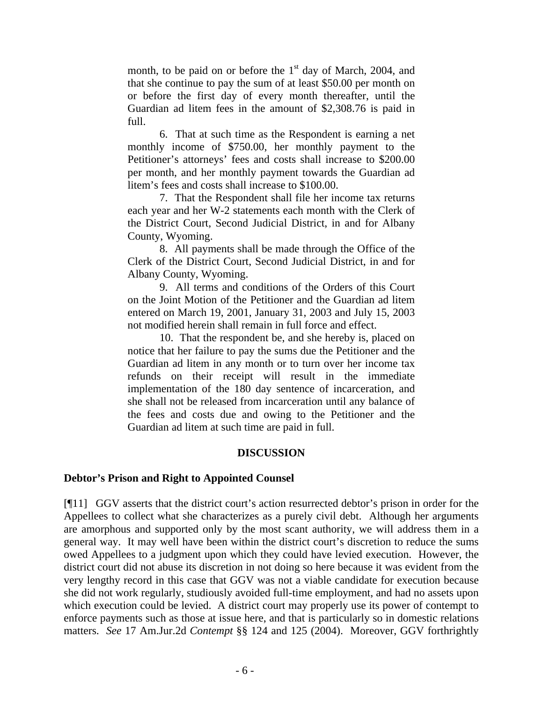month, to be paid on or before the  $1<sup>st</sup>$  day of March, 2004, and that she continue to pay the sum of at least \$50.00 per month on or before the first day of every month thereafter, until the Guardian ad litem fees in the amount of \$2,308.76 is paid in full.

6. That at such time as the Respondent is earning a net monthly income of \$750.00, her monthly payment to the Petitioner's attorneys' fees and costs shall increase to \$200.00 per month, and her monthly payment towards the Guardian ad litem's fees and costs shall increase to \$100.00.

7. That the Respondent shall file her income tax returns each year and her W-2 statements each month with the Clerk of the District Court, Second Judicial District, in and for Albany County, Wyoming.

8. All payments shall be made through the Office of the Clerk of the District Court, Second Judicial District, in and for Albany County, Wyoming.

9. All terms and conditions of the Orders of this Court on the Joint Motion of the Petitioner and the Guardian ad litem entered on March 19, 2001, January 31, 2003 and July 15, 2003 not modified herein shall remain in full force and effect.

10. That the respondent be, and she hereby is, placed on notice that her failure to pay the sums due the Petitioner and the Guardian ad litem in any month or to turn over her income tax refunds on their receipt will result in the immediate implementation of the 180 day sentence of incarceration, and she shall not be released from incarceration until any balance of the fees and costs due and owing to the Petitioner and the Guardian ad litem at such time are paid in full.

## **DISCUSSION**

## **Debtor's Prison and Right to Appointed Counsel**

[¶11] GGV asserts that the district court's action resurrected debtor's prison in order for the Appellees to collect what she characterizes as a purely civil debt. Although her arguments are amorphous and supported only by the most scant authority, we will address them in a general way. It may well have been within the district court's discretion to reduce the sums owed Appellees to a judgment upon which they could have levied execution. However, the district court did not abuse its discretion in not doing so here because it was evident from the very lengthy record in this case that GGV was not a viable candidate for execution because she did not work regularly, studiously avoided full-time employment, and had no assets upon which execution could be levied. A district court may properly use its power of contempt to enforce payments such as those at issue here, and that is particularly so in domestic relations matters. *See* 17 Am.Jur.2d *Contempt* §§ 124 and 125 (2004). Moreover, GGV forthrightly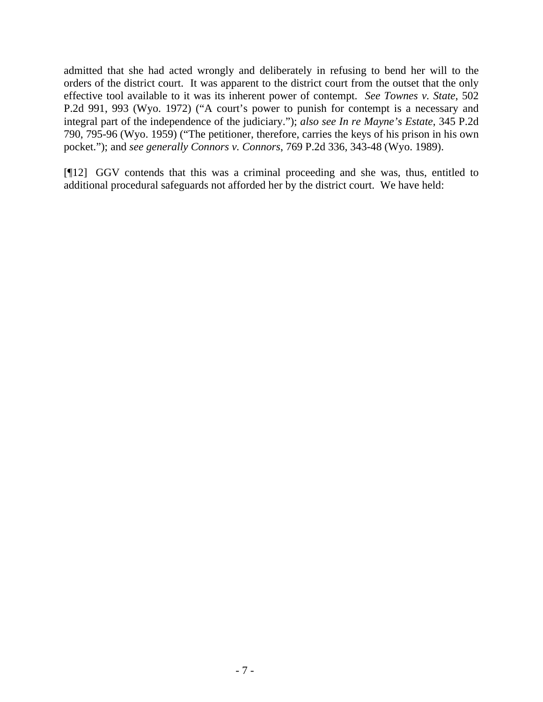admitted that she had acted wrongly and deliberately in refusing to bend her will to the orders of the district court. It was apparent to the district court from the outset that the only effective tool available to it was its inherent power of contempt. *See Townes v. State*, 502 P.2d 991, 993 (Wyo. 1972) ("A court's power to punish for contempt is a necessary and integral part of the independence of the judiciary."); *also see In re Mayne's Estate*, 345 P.2d 790, 795-96 (Wyo. 1959) ("The petitioner, therefore, carries the keys of his prison in his own pocket."); and *see generally Connors v. Connors*, 769 P.2d 336, 343-48 (Wyo. 1989).

[¶12] GGV contends that this was a criminal proceeding and she was, thus, entitled to additional procedural safeguards not afforded her by the district court. We have held: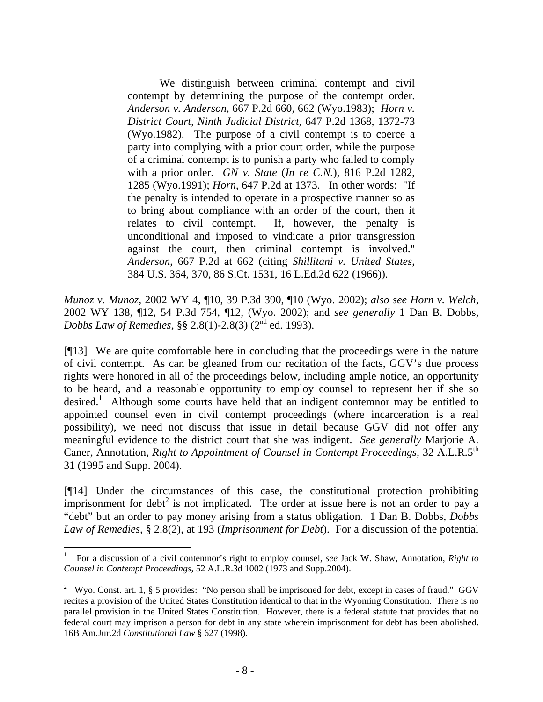We distinguish between criminal contempt and civil contempt by determining the purpose of the contempt order. *Anderson v. Anderson*, 667 P.2d 660, 662 (Wyo.1983); *Horn v. District Court, Ninth Judicial District*, 647 P.2d 1368, 1372-73 (Wyo.1982). The purpose of a civil contempt is to coerce a party into complying with a prior court order, while the purpose of a criminal contempt is to punish a party who failed to comply with a prior order. *GN v. State* (*In re C.N.*), 816 P.2d 1282, 1285 (Wyo.1991); *Horn*, 647 P.2d at 1373. In other words: "If the penalty is intended to operate in a prospective manner so as to bring about compliance with an order of the court, then it relates to civil contempt. If, however, the penalty is unconditional and imposed to vindicate a prior transgression against the court, then criminal contempt is involved." *Anderson*, 667 P.2d at 662 (citing *Shillitani v. United States*, 384 U.S. 364, 370, 86 S.Ct. 1531, 16 L.Ed.2d 622 (1966)).

*Munoz v. Munoz*, 2002 WY 4, ¶10, 39 P.3d 390, ¶10 (Wyo. 2002); *also see Horn v. Welch*, 2002 WY 138, ¶12, 54 P.3d 754, ¶12, (Wyo. 2002); and *see generally* 1 Dan B. Dobbs, *Dobbs Law of Remedies*, §§ 2.8(1)-2.8(3) (2nd ed. 1993).

[¶13] We are quite comfortable here in concluding that the proceedings were in the nature of civil contempt. As can be gleaned from our recitation of the facts, GGV's due process rights were honored in all of the proceedings below, including ample notice, an opportunity to be heard, and a reasonable opportunity to employ counsel to represent her if she so desired.<sup>[1](#page-9-0)</sup> Although some courts have held that an indigent contemnor may be entitled to appointed counsel even in civil contempt proceedings (where incarceration is a real possibility), we need not discuss that issue in detail because GGV did not offer any meaningful evidence to the district court that she was indigent. *See generally* Marjorie A. Caner, Annotation, *Right to Appointment of Counsel in Contempt Proceedings*, 32 A.L.R.5th 31 (1995 and Supp. 2004).

[¶14] Under the circumstances of this case, the constitutional protection prohibiting imprisonment for debt<sup>[2](#page-9-1)</sup> is not implicated. The order at issue here is not an order to pay a "debt" but an order to pay money arising from a status obligation. 1 Dan B. Dobbs, *Dobbs Law of Remedies,* § 2.8(2), at 193 (*Imprisonment for Debt*). For a discussion of the potential

<span id="page-9-0"></span><sup>1</sup> For a discussion of a civil contemnor's right to employ counsel, *see* Jack W. Shaw, Annotation, *Right to Counsel in Contempt Proceedings*, 52 A.L.R.3d 1002 (1973 and Supp.2004).

<span id="page-9-1"></span><sup>&</sup>lt;sup>2</sup> Wyo. Const. art. 1, § 5 provides: "No person shall be imprisoned for debt, except in cases of fraud." GGV recites a provision of the United States Constitution identical to that in the Wyoming Constitution. There is no parallel provision in the United States Constitution. However, there is a federal statute that provides that no federal court may imprison a person for debt in any state wherein imprisonment for debt has been abolished. 16B Am.Jur.2d *Constitutional Law* § 627 (1998).